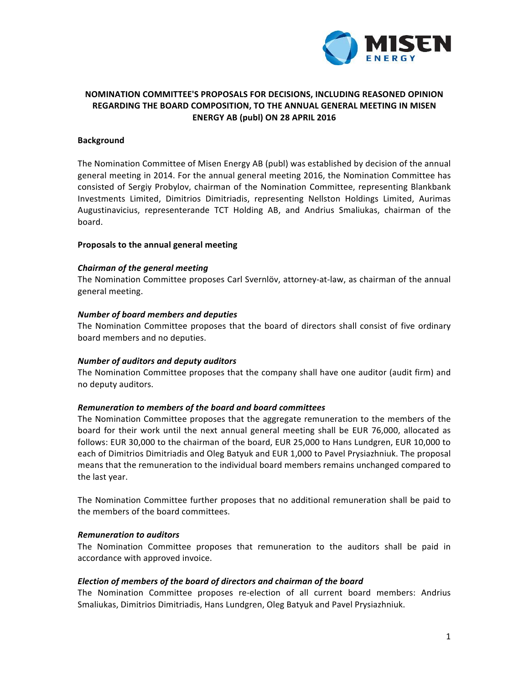

# **NOMINATION COMMITTEE'S PROPOSALS FOR DECISIONS, INCLUDING REASONED OPINION REGARDING THE BOARD COMPOSITION, TO THE ANNUAL GENERAL MEETING IN MISEN ENERGY AB (publ) ON 28 APRIL 2016**

#### **Background**

The Nomination Committee of Misen Energy AB (publ) was established by decision of the annual general meeting in 2014. For the annual general meeting 2016, the Nomination Committee has consisted of Sergiy Probylov, chairman of the Nomination Committee, representing Blankbank Investments Limited, Dimitrios Dimitriadis, representing Nellston Holdings Limited, Aurimas Augustinavicius, representerande TCT Holding AB, and Andrius Smaliukas, chairman of the board.

#### **Proposals to the annual general meeting**

### *Chairman of the general meeting*

The Nomination Committee proposes Carl Svernlöv, attorney-at-law, as chairman of the annual general meeting.

### *Number of board members and deputies*

The Nomination Committee proposes that the board of directors shall consist of five ordinary board members and no deputies.

#### *Number of auditors and deputy auditors*

The Nomination Committee proposes that the company shall have one auditor (audit firm) and no deputy auditors.

#### *Remuneration to members of the board and board committees*

The Nomination Committee proposes that the aggregate remuneration to the members of the board for their work until the next annual general meeting shall be EUR 76,000, allocated as follows: EUR 30,000 to the chairman of the board, EUR 25,000 to Hans Lundgren, EUR 10,000 to each of Dimitrios Dimitriadis and Oleg Batyuk and EUR 1,000 to Pavel Prysiazhniuk. The proposal means that the remuneration to the individual board members remains unchanged compared to the last year.

The Nomination Committee further proposes that no additional remuneration shall be paid to the members of the board committees.

#### *Remuneration to auditors*

The Nomination Committee proposes that remuneration to the auditors shall be paid in accordance with approved invoice.

## *Election of members of the board of directors and chairman of the board*

The Nomination Committee proposes re-election of all current board members: Andrius Smaliukas, Dimitrios Dimitriadis, Hans Lundgren, Oleg Batyuk and Pavel Prysiazhniuk.